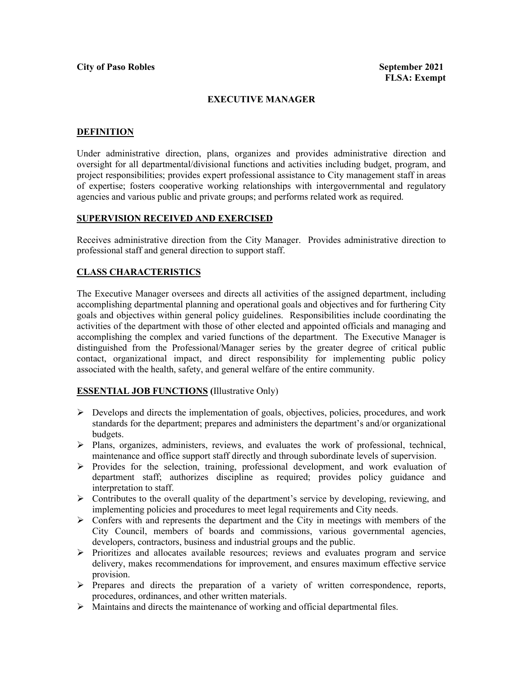# **EXECUTIVE MANAGER**

### **DEFINITION**

Under administrative direction, plans, organizes and provides administrative direction and oversight for all departmental/divisional functions and activities including budget, program, and project responsibilities; provides expert professional assistance to City management staff in areas of expertise; fosters cooperative working relationships with intergovernmental and regulatory agencies and various public and private groups; and performs related work as required.

### **SUPERVISION RECEIVED AND EXERCISED**

Receives administrative direction from the City Manager. Provides administrative direction to professional staff and general direction to support staff.

# **CLASS CHARACTERISTICS**

The Executive Manager oversees and directs all activities of the assigned department, including accomplishing departmental planning and operational goals and objectives and for furthering City goals and objectives within general policy guidelines. Responsibilities include coordinating the activities of the department with those of other elected and appointed officials and managing and accomplishing the complex and varied functions of the department. The Executive Manager is distinguished from the Professional/Manager series by the greater degree of critical public contact, organizational impact, and direct responsibility for implementing public policy associated with the health, safety, and general welfare of the entire community.

#### **ESSENTIAL JOB FUNCTIONS (**Illustrative Only)

- $\triangleright$  Develops and directs the implementation of goals, objectives, policies, procedures, and work standards for the department; prepares and administers the department's and/or organizational budgets.
- Plans, organizes, administers, reviews, and evaluates the work of professional, technical, maintenance and office support staff directly and through subordinate levels of supervision.
- $\triangleright$  Provides for the selection, training, professional development, and work evaluation of department staff; authorizes discipline as required; provides policy guidance and interpretation to staff.
- $\triangleright$  Contributes to the overall quality of the department's service by developing, reviewing, and implementing policies and procedures to meet legal requirements and City needs.
- $\triangleright$  Confers with and represents the department and the City in meetings with members of the City Council, members of boards and commissions, various governmental agencies, developers, contractors, business and industrial groups and the public.
- Prioritizes and allocates available resources; reviews and evaluates program and service delivery, makes recommendations for improvement, and ensures maximum effective service provision.
- $\triangleright$  Prepares and directs the preparation of a variety of written correspondence, reports, procedures, ordinances, and other written materials.
- $\triangleright$  Maintains and directs the maintenance of working and official departmental files.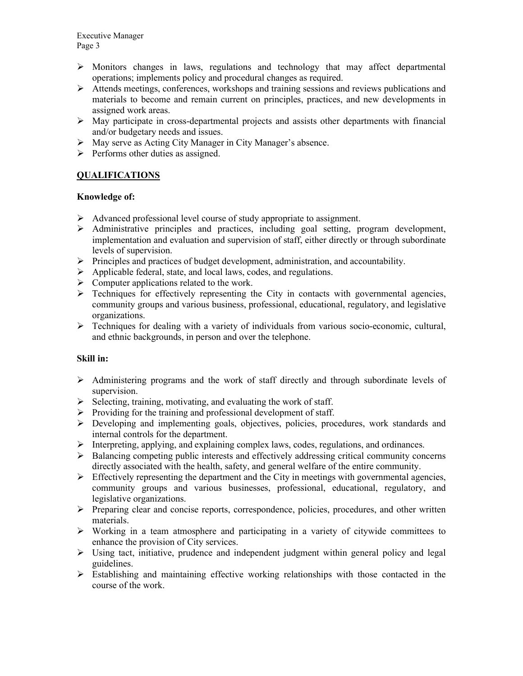- $\triangleright$  Monitors changes in laws, regulations and technology that may affect departmental operations; implements policy and procedural changes as required.
- Attends meetings, conferences, workshops and training sessions and reviews publications and materials to become and remain current on principles, practices, and new developments in assigned work areas.
- $\triangleright$  May participate in cross-departmental projects and assists other departments with financial and/or budgetary needs and issues.
- May serve as Acting City Manager in City Manager's absence.
- $\triangleright$  Performs other duties as assigned.

# **QUALIFICATIONS**

# **Knowledge of:**

- $\triangleright$  Advanced professional level course of study appropriate to assignment.
- $\triangleright$  Administrative principles and practices, including goal setting, program development, implementation and evaluation and supervision of staff, either directly or through subordinate levels of supervision.
- $\triangleright$  Principles and practices of budget development, administration, and accountability.
- $\triangleright$  Applicable federal, state, and local laws, codes, and regulations.
- $\triangleright$  Computer applications related to the work.
- $\triangleright$  Techniques for effectively representing the City in contacts with governmental agencies, community groups and various business, professional, educational, regulatory, and legislative organizations.
- $\triangleright$  Techniques for dealing with a variety of individuals from various socio-economic, cultural, and ethnic backgrounds, in person and over the telephone.

# **Skill in:**

- Administering programs and the work of staff directly and through subordinate levels of supervision.
- $\triangleright$  Selecting, training, motivating, and evaluating the work of staff.
- $\triangleright$  Providing for the training and professional development of staff.
- Developing and implementing goals, objectives, policies, procedures, work standards and internal controls for the department.
- $\triangleright$  Interpreting, applying, and explaining complex laws, codes, regulations, and ordinances.
- > Balancing competing public interests and effectively addressing critical community concerns directly associated with the health, safety, and general welfare of the entire community.
- $\triangleright$  Effectively representing the department and the City in meetings with governmental agencies, community groups and various businesses, professional, educational, regulatory, and legislative organizations.
- $\triangleright$  Preparing clear and concise reports, correspondence, policies, procedures, and other written materials.
- $\triangleright$  Working in a team atmosphere and participating in a variety of citywide committees to enhance the provision of City services.
- $\triangleright$  Using tact, initiative, prudence and independent judgment within general policy and legal guidelines.
- $\triangleright$  Establishing and maintaining effective working relationships with those contacted in the course of the work.